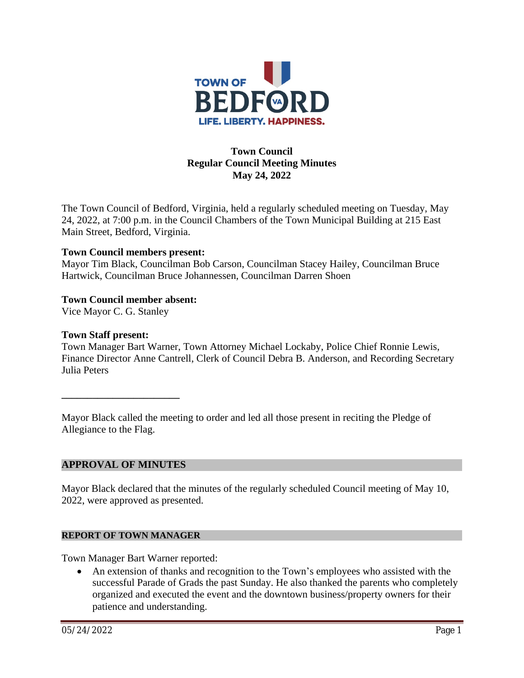

## **Town Council Regular Council Meeting Minutes May 24, 2022**

The Town Council of Bedford, Virginia, held a regularly scheduled meeting on Tuesday, May 24, 2022, at 7:00 p.m. in the Council Chambers of the Town Municipal Building at 215 East Main Street, Bedford, Virginia.

### **Town Council members present:**

Mayor Tim Black, Councilman Bob Carson, Councilman Stacey Hailey, Councilman Bruce Hartwick, Councilman Bruce Johannessen, Councilman Darren Shoen

### **Town Council member absent:**

Vice Mayor C. G. Stanley

#### **Town Staff present:**

Town Manager Bart Warner, Town Attorney Michael Lockaby, Police Chief Ronnie Lewis, Finance Director Anne Cantrell, Clerk of Council Debra B. Anderson, and Recording Secretary Julia Peters

Mayor Black called the meeting to order and led all those present in reciting the Pledge of Allegiance to the Flag.

#### **APPROVAL OF MINUTES**

**\_\_\_\_\_\_\_\_\_\_\_\_\_\_\_\_\_\_\_\_\_\_\_**

Mayor Black declared that the minutes of the regularly scheduled Council meeting of May 10, 2022, were approved as presented.

#### **REPORT OF TOWN MANAGER**

Town Manager Bart Warner reported:

 An extension of thanks and recognition to the Town's employees who assisted with the successful Parade of Grads the past Sunday. He also thanked the parents who completely organized and executed the event and the downtown business/property owners for their patience and understanding.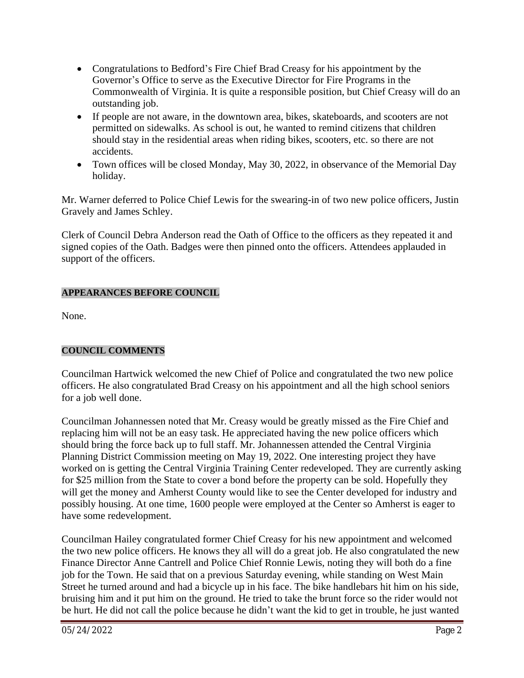- Congratulations to Bedford's Fire Chief Brad Creasy for his appointment by the Governor's Office to serve as the Executive Director for Fire Programs in the Commonwealth of Virginia. It is quite a responsible position, but Chief Creasy will do an outstanding job.
- If people are not aware, in the downtown area, bikes, skateboards, and scooters are not permitted on sidewalks. As school is out, he wanted to remind citizens that children should stay in the residential areas when riding bikes, scooters, etc. so there are not accidents.
- Town offices will be closed Monday, May 30, 2022, in observance of the Memorial Day holiday.

Mr. Warner deferred to Police Chief Lewis for the swearing-in of two new police officers, Justin Gravely and James Schley.

Clerk of Council Debra Anderson read the Oath of Office to the officers as they repeated it and signed copies of the Oath. Badges were then pinned onto the officers. Attendees applauded in support of the officers.

## **APPEARANCES BEFORE COUNCIL**

None.

# **COUNCIL COMMENTS**

Councilman Hartwick welcomed the new Chief of Police and congratulated the two new police officers. He also congratulated Brad Creasy on his appointment and all the high school seniors for a job well done.

Councilman Johannessen noted that Mr. Creasy would be greatly missed as the Fire Chief and replacing him will not be an easy task. He appreciated having the new police officers which should bring the force back up to full staff. Mr. Johannessen attended the Central Virginia Planning District Commission meeting on May 19, 2022. One interesting project they have worked on is getting the Central Virginia Training Center redeveloped. They are currently asking for \$25 million from the State to cover a bond before the property can be sold. Hopefully they will get the money and Amherst County would like to see the Center developed for industry and possibly housing. At one time, 1600 people were employed at the Center so Amherst is eager to have some redevelopment.

Councilman Hailey congratulated former Chief Creasy for his new appointment and welcomed the two new police officers. He knows they all will do a great job. He also congratulated the new Finance Director Anne Cantrell and Police Chief Ronnie Lewis, noting they will both do a fine job for the Town. He said that on a previous Saturday evening, while standing on West Main Street he turned around and had a bicycle up in his face. The bike handlebars hit him on his side, bruising him and it put him on the ground. He tried to take the brunt force so the rider would not be hurt. He did not call the police because he didn't want the kid to get in trouble, he just wanted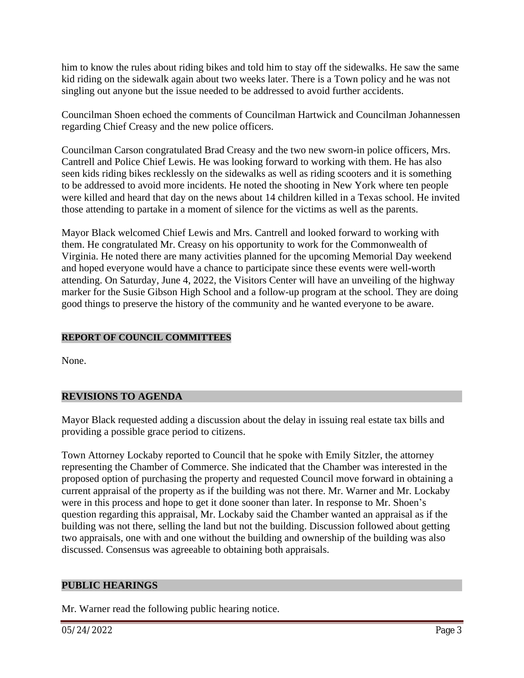him to know the rules about riding bikes and told him to stay off the sidewalks. He saw the same kid riding on the sidewalk again about two weeks later. There is a Town policy and he was not singling out anyone but the issue needed to be addressed to avoid further accidents.

Councilman Shoen echoed the comments of Councilman Hartwick and Councilman Johannessen regarding Chief Creasy and the new police officers.

Councilman Carson congratulated Brad Creasy and the two new sworn-in police officers, Mrs. Cantrell and Police Chief Lewis. He was looking forward to working with them. He has also seen kids riding bikes recklessly on the sidewalks as well as riding scooters and it is something to be addressed to avoid more incidents. He noted the shooting in New York where ten people were killed and heard that day on the news about 14 children killed in a Texas school. He invited those attending to partake in a moment of silence for the victims as well as the parents.

Mayor Black welcomed Chief Lewis and Mrs. Cantrell and looked forward to working with them. He congratulated Mr. Creasy on his opportunity to work for the Commonwealth of Virginia. He noted there are many activities planned for the upcoming Memorial Day weekend and hoped everyone would have a chance to participate since these events were well-worth attending. On Saturday, June 4, 2022, the Visitors Center will have an unveiling of the highway marker for the Susie Gibson High School and a follow-up program at the school. They are doing good things to preserve the history of the community and he wanted everyone to be aware.

### **REPORT OF COUNCIL COMMITTEES**

None.

### **REVISIONS TO AGENDA**

Mayor Black requested adding a discussion about the delay in issuing real estate tax bills and providing a possible grace period to citizens.

Town Attorney Lockaby reported to Council that he spoke with Emily Sitzler, the attorney representing the Chamber of Commerce. She indicated that the Chamber was interested in the proposed option of purchasing the property and requested Council move forward in obtaining a current appraisal of the property as if the building was not there. Mr. Warner and Mr. Lockaby were in this process and hope to get it done sooner than later. In response to Mr. Shoen's question regarding this appraisal, Mr. Lockaby said the Chamber wanted an appraisal as if the building was not there, selling the land but not the building. Discussion followed about getting two appraisals, one with and one without the building and ownership of the building was also discussed. Consensus was agreeable to obtaining both appraisals.

#### **PUBLIC HEARINGS**

Mr. Warner read the following public hearing notice.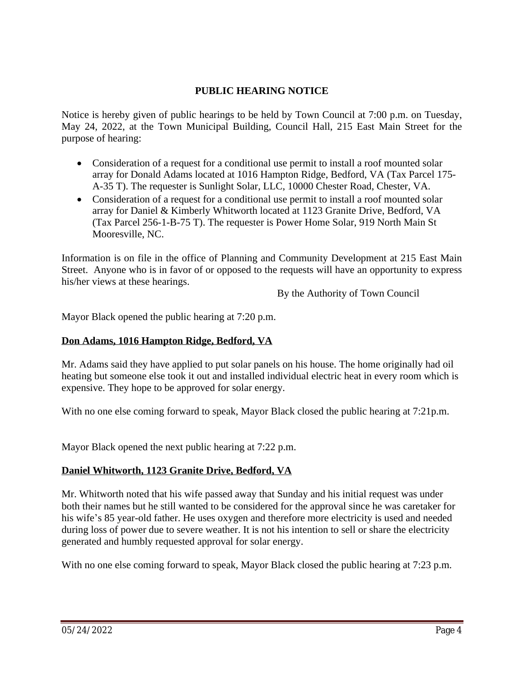### **PUBLIC HEARING NOTICE**

Notice is hereby given of public hearings to be held by Town Council at 7:00 p.m. on Tuesday, May 24, 2022, at the Town Municipal Building, Council Hall, 215 East Main Street for the purpose of hearing:

- Consideration of a request for a conditional use permit to install a roof mounted solar array for Donald Adams located at 1016 Hampton Ridge, Bedford, VA (Tax Parcel 175- A-35 T). The requester is Sunlight Solar, LLC, 10000 Chester Road, Chester, VA.
- Consideration of a request for a conditional use permit to install a roof mounted solar array for Daniel & Kimberly Whitworth located at 1123 Granite Drive, Bedford, VA (Tax Parcel 256-1-B-75 T). The requester is Power Home Solar, 919 North Main St Mooresville, NC.

Information is on file in the office of Planning and Community Development at 215 East Main Street. Anyone who is in favor of or opposed to the requests will have an opportunity to express his/her views at these hearings.

By the Authority of Town Council

Mayor Black opened the public hearing at 7:20 p.m.

### **Don Adams, 1016 Hampton Ridge, Bedford, VA**

Mr. Adams said they have applied to put solar panels on his house. The home originally had oil heating but someone else took it out and installed individual electric heat in every room which is expensive. They hope to be approved for solar energy.

With no one else coming forward to speak, Mayor Black closed the public hearing at 7:21p.m.

Mayor Black opened the next public hearing at 7:22 p.m.

### **Daniel Whitworth, 1123 Granite Drive, Bedford, VA**

Mr. Whitworth noted that his wife passed away that Sunday and his initial request was under both their names but he still wanted to be considered for the approval since he was caretaker for his wife's 85 year-old father. He uses oxygen and therefore more electricity is used and needed during loss of power due to severe weather. It is not his intention to sell or share the electricity generated and humbly requested approval for solar energy.

With no one else coming forward to speak, Mayor Black closed the public hearing at 7:23 p.m.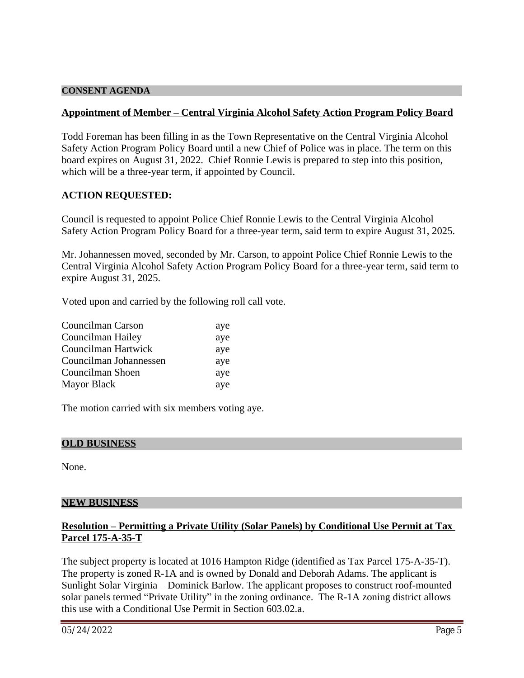#### **CONSENT AGENDA**

#### **Appointment of Member – Central Virginia Alcohol Safety Action Program Policy Board**

Todd Foreman has been filling in as the Town Representative on the Central Virginia Alcohol Safety Action Program Policy Board until a new Chief of Police was in place. The term on this board expires on August 31, 2022. Chief Ronnie Lewis is prepared to step into this position, which will be a three-year term, if appointed by Council.

### **ACTION REQUESTED:**

Council is requested to appoint Police Chief Ronnie Lewis to the Central Virginia Alcohol Safety Action Program Policy Board for a three-year term, said term to expire August 31, 2025.

Mr. Johannessen moved, seconded by Mr. Carson, to appoint Police Chief Ronnie Lewis to the Central Virginia Alcohol Safety Action Program Policy Board for a three-year term, said term to expire August 31, 2025.

Voted upon and carried by the following roll call vote.

| Councilman Carson      | aye |
|------------------------|-----|
| Councilman Hailey      | aye |
| Councilman Hartwick    | aye |
| Councilman Johannessen | aye |
| Councilman Shoen       | aye |
| <b>Mayor Black</b>     | aye |

The motion carried with six members voting aye.

#### **OLD BUSINESS**

None.

#### **NEW BUSINESS**

### **Resolution – Permitting a Private Utility (Solar Panels) by Conditional Use Permit at Tax Parcel 175-A-35-T**

The subject property is located at 1016 Hampton Ridge (identified as Tax Parcel 175-A-35-T). The property is zoned R-1A and is owned by Donald and Deborah Adams. The applicant is Sunlight Solar Virginia – Dominick Barlow. The applicant proposes to construct roof-mounted solar panels termed "Private Utility" in the zoning ordinance. The R-1A zoning district allows this use with a Conditional Use Permit in Section 603.02.a.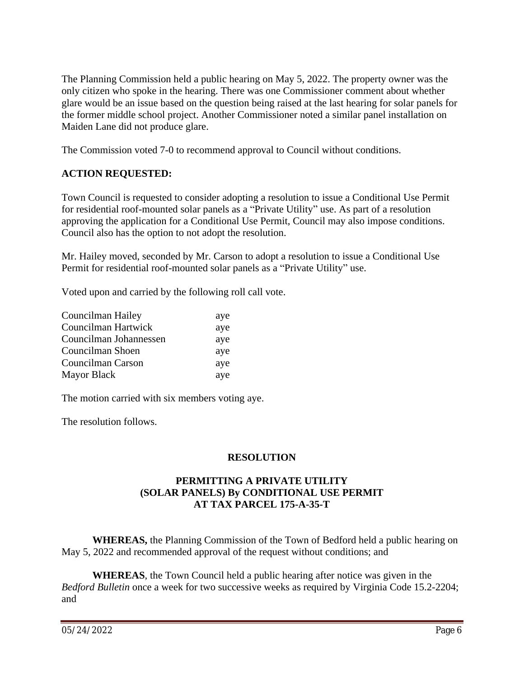The Planning Commission held a public hearing on May 5, 2022. The property owner was the only citizen who spoke in the hearing. There was one Commissioner comment about whether glare would be an issue based on the question being raised at the last hearing for solar panels for the former middle school project. Another Commissioner noted a similar panel installation on Maiden Lane did not produce glare.

The Commission voted 7-0 to recommend approval to Council without conditions.

## **ACTION REQUESTED:**

Town Council is requested to consider adopting a resolution to issue a Conditional Use Permit for residential roof-mounted solar panels as a "Private Utility" use. As part of a resolution approving the application for a Conditional Use Permit, Council may also impose conditions. Council also has the option to not adopt the resolution.

Mr. Hailey moved, seconded by Mr. Carson to adopt a resolution to issue a Conditional Use Permit for residential roof-mounted solar panels as a "Private Utility" use.

Voted upon and carried by the following roll call vote.

| Councilman Hailey      | aye |
|------------------------|-----|
| Councilman Hartwick    | aye |
| Councilman Johannessen | aye |
| Councilman Shoen       | aye |
| Councilman Carson      | aye |
| <b>Mayor Black</b>     | ave |

The motion carried with six members voting aye.

The resolution follows.

### **RESOLUTION**

### **PERMITTING A PRIVATE UTILITY (SOLAR PANELS) By CONDITIONAL USE PERMIT AT TAX PARCEL 175-A-35-T**

**WHEREAS,** the Planning Commission of the Town of Bedford held a public hearing on May 5, 2022 and recommended approval of the request without conditions; and

**WHEREAS**, the Town Council held a public hearing after notice was given in the *Bedford Bulletin* once a week for two successive weeks as required by Virginia Code 15.2-2204; and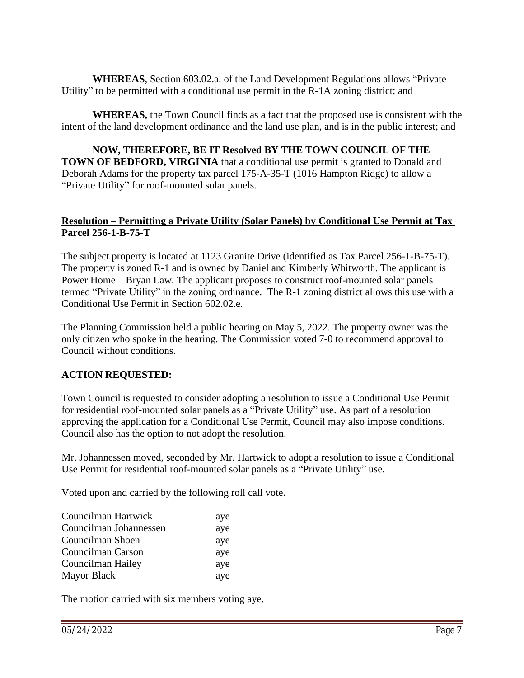**WHEREAS**, Section 603.02.a. of the Land Development Regulations allows "Private Utility" to be permitted with a conditional use permit in the R-1A zoning district; and

**WHEREAS,** the Town Council finds as a fact that the proposed use is consistent with the intent of the land development ordinance and the land use plan, and is in the public interest; and

**NOW, THEREFORE, BE IT Resolved BY THE TOWN COUNCIL OF THE TOWN OF BEDFORD, VIRGINIA** that a conditional use permit is granted to Donald and Deborah Adams for the property tax parcel 175-A-35-T (1016 Hampton Ridge) to allow a "Private Utility" for roof-mounted solar panels.

### **Resolution – Permitting a Private Utility (Solar Panels) by Conditional Use Permit at Tax Parcel 256-1-B-75-T**

The subject property is located at 1123 Granite Drive (identified as Tax Parcel 256-1-B-75-T). The property is zoned R-1 and is owned by Daniel and Kimberly Whitworth. The applicant is Power Home – Bryan Law. The applicant proposes to construct roof-mounted solar panels termed "Private Utility" in the zoning ordinance. The R-1 zoning district allows this use with a Conditional Use Permit in Section 602.02.e.

The Planning Commission held a public hearing on May 5, 2022. The property owner was the only citizen who spoke in the hearing. The Commission voted 7-0 to recommend approval to Council without conditions.

# **ACTION REQUESTED:**

Town Council is requested to consider adopting a resolution to issue a Conditional Use Permit for residential roof-mounted solar panels as a "Private Utility" use. As part of a resolution approving the application for a Conditional Use Permit, Council may also impose conditions. Council also has the option to not adopt the resolution.

Mr. Johannessen moved, seconded by Mr. Hartwick to adopt a resolution to issue a Conditional Use Permit for residential roof-mounted solar panels as a "Private Utility" use.

Voted upon and carried by the following roll call vote.

| Councilman Hartwick    | aye |
|------------------------|-----|
| Councilman Johannessen | aye |
| Councilman Shoen       | aye |
| Councilman Carson      | aye |
| Councilman Hailey      | aye |
| <b>Mayor Black</b>     | aye |

The motion carried with six members voting aye.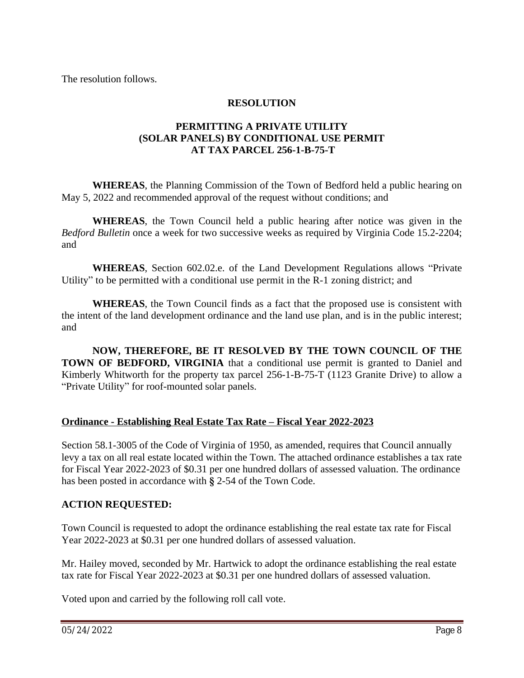The resolution follows.

## **RESOLUTION**

## **PERMITTING A PRIVATE UTILITY (SOLAR PANELS) BY CONDITIONAL USE PERMIT AT TAX PARCEL 256-1-B-75-T**

**WHEREAS**, the Planning Commission of the Town of Bedford held a public hearing on May 5, 2022 and recommended approval of the request without conditions; and

**WHEREAS**, the Town Council held a public hearing after notice was given in the *Bedford Bulletin* once a week for two successive weeks as required by Virginia Code 15.2-2204; and

**WHEREAS**, Section 602.02.e. of the Land Development Regulations allows "Private Utility" to be permitted with a conditional use permit in the R-1 zoning district; and

**WHEREAS**, the Town Council finds as a fact that the proposed use is consistent with the intent of the land development ordinance and the land use plan, and is in the public interest; and

**NOW, THEREFORE, BE IT RESOLVED BY THE TOWN COUNCIL OF THE TOWN OF BEDFORD, VIRGINIA** that a conditional use permit is granted to Daniel and Kimberly Whitworth for the property tax parcel 256-1-B-75-T (1123 Granite Drive) to allow a "Private Utility" for roof-mounted solar panels.

# **Ordinance - Establishing Real Estate Tax Rate – Fiscal Year 2022-2023**

Section 58.1-3005 of the Code of Virginia of 1950, as amended, requires that Council annually levy a tax on all real estate located within the Town. The attached ordinance establishes a tax rate for Fiscal Year 2022-2023 of \$0.31 per one hundred dollars of assessed valuation. The ordinance has been posted in accordance with **§** 2-54 of the Town Code.

# **ACTION REQUESTED:**

Town Council is requested to adopt the ordinance establishing the real estate tax rate for Fiscal Year 2022-2023 at \$0.31 per one hundred dollars of assessed valuation.

Mr. Hailey moved, seconded by Mr. Hartwick to adopt the ordinance establishing the real estate tax rate for Fiscal Year 2022-2023 at \$0.31 per one hundred dollars of assessed valuation.

Voted upon and carried by the following roll call vote.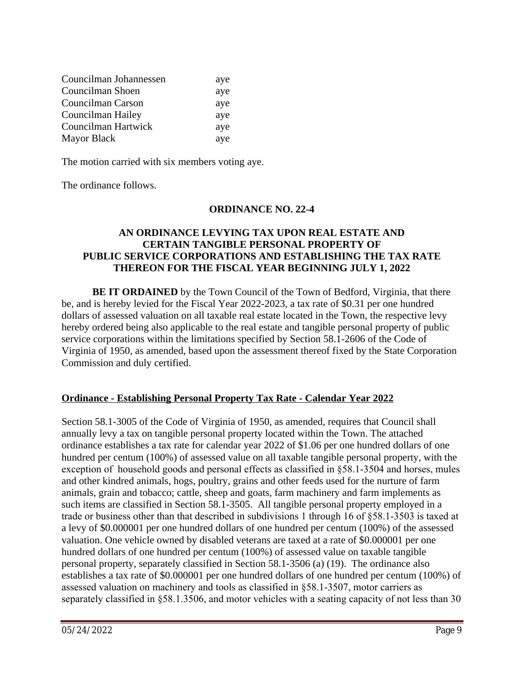| Councilman Johannessen | aye |
|------------------------|-----|
| Councilman Shoen       | aye |
| Councilman Carson      | aye |
| Councilman Hailey      | aye |
| Councilman Hartwick    | aye |
| <b>Mayor Black</b>     | aye |

The motion carried with six members voting aye.

The ordinance follows.

### **ORDINANCE NO. 22-4**

### **AN ORDINANCE LEVYING TAX UPON REAL ESTATE AND CERTAIN TANGIBLE PERSONAL PROPERTY OF PUBLIC SERVICE CORPORATIONS AND ESTABLISHING THE TAX RATE THEREON FOR THE FISCAL YEAR BEGINNING JULY 1, 2022**

**BE IT ORDAINED** by the Town Council of the Town of Bedford, Virginia, that there be, and is hereby levied for the Fiscal Year 2022-2023, a tax rate of \$0.31 per one hundred dollars of assessed valuation on all taxable real estate located in the Town, the respective levy hereby ordered being also applicable to the real estate and tangible personal property of public service corporations within the limitations specified by Section 58.1-2606 of the Code of Virginia of 1950, as amended, based upon the assessment thereof fixed by the State Corporation Commission and duly certified.

### **Ordinance - Establishing Personal Property Tax Rate - Calendar Year 2022**

Section 58.1-3005 of the Code of Virginia of 1950, as amended, requires that Council shall annually levy a tax on tangible personal property located within the Town. The attached ordinance establishes a tax rate for calendar year 2022 of \$1.06 per one hundred dollars of one hundred per centum (100%) of assessed value on all taxable tangible personal property, with the exception of household goods and personal effects as classified in §58.1-3504 and horses, mules and other kindred animals, hogs, poultry, grains and other feeds used for the nurture of farm animals, grain and tobacco; cattle, sheep and goats, farm machinery and farm implements as such items are classified in Section 58.1-3505. All tangible personal property employed in a trade or business other than that described in subdivisions 1 through 16 of §58.1-3503 is taxed at a levy of \$0.000001 per one hundred dollars of one hundred per centum (100%) of the assessed valuation. One vehicle owned by disabled veterans are taxed at a rate of \$0.000001 per one hundred dollars of one hundred per centum (100%) of assessed value on taxable tangible personal property, separately classified in Section 58.1-3506 (a) (19). The ordinance also establishes a tax rate of \$0.000001 per one hundred dollars of one hundred per centum (100%) of assessed valuation on machinery and tools as classified in §58.1-3507, motor carriers as separately classified in §58.1.3506, and motor vehicles with a seating capacity of not less than 30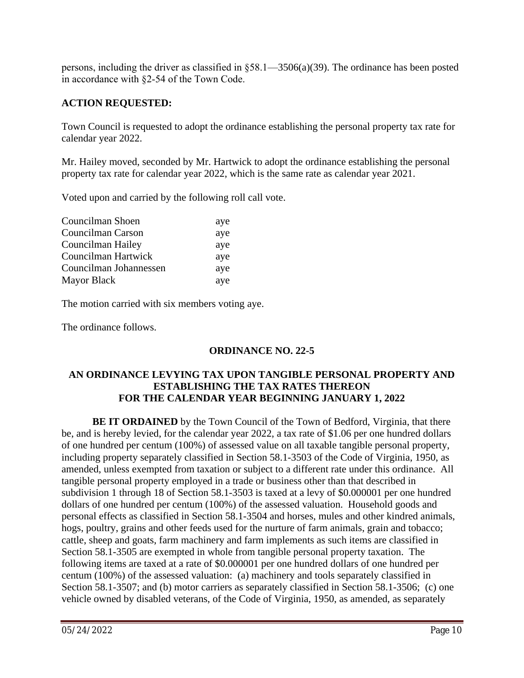persons, including the driver as classified in §58.1—3506(a)(39). The ordinance has been posted in accordance with §2-54 of the Town Code.

# **ACTION REQUESTED:**

Town Council is requested to adopt the ordinance establishing the personal property tax rate for calendar year 2022.

Mr. Hailey moved, seconded by Mr. Hartwick to adopt the ordinance establishing the personal property tax rate for calendar year 2022, which is the same rate as calendar year 2021.

Voted upon and carried by the following roll call vote.

| Councilman Shoen       | aye |
|------------------------|-----|
| Councilman Carson      | aye |
| Councilman Hailey      | aye |
| Councilman Hartwick    | aye |
| Councilman Johannessen | aye |
| <b>Mayor Black</b>     | aye |

The motion carried with six members voting aye.

The ordinance follows.

# **ORDINANCE NO. 22-5**

## **AN ORDINANCE LEVYING TAX UPON TANGIBLE PERSONAL PROPERTY AND ESTABLISHING THE TAX RATES THEREON FOR THE CALENDAR YEAR BEGINNING JANUARY 1, 2022**

**BE IT ORDAINED** by the Town Council of the Town of Bedford, Virginia, that there be, and is hereby levied, for the calendar year 2022, a tax rate of \$1.06 per one hundred dollars of one hundred per centum (100%) of assessed value on all taxable tangible personal property, including property separately classified in Section 58.1-3503 of the Code of Virginia, 1950, as amended, unless exempted from taxation or subject to a different rate under this ordinance. All tangible personal property employed in a trade or business other than that described in subdivision 1 through 18 of Section 58.1-3503 is taxed at a levy of \$0.000001 per one hundred dollars of one hundred per centum (100%) of the assessed valuation. Household goods and personal effects as classified in Section 58.1-3504 and horses, mules and other kindred animals, hogs, poultry, grains and other feeds used for the nurture of farm animals, grain and tobacco; cattle, sheep and goats, farm machinery and farm implements as such items are classified in Section 58.1-3505 are exempted in whole from tangible personal property taxation. The following items are taxed at a rate of \$0.000001 per one hundred dollars of one hundred per centum (100%) of the assessed valuation: (a) machinery and tools separately classified in Section 58.1-3507; and (b) motor carriers as separately classified in Section 58.1-3506; (c) one vehicle owned by disabled veterans, of the Code of Virginia, 1950, as amended, as separately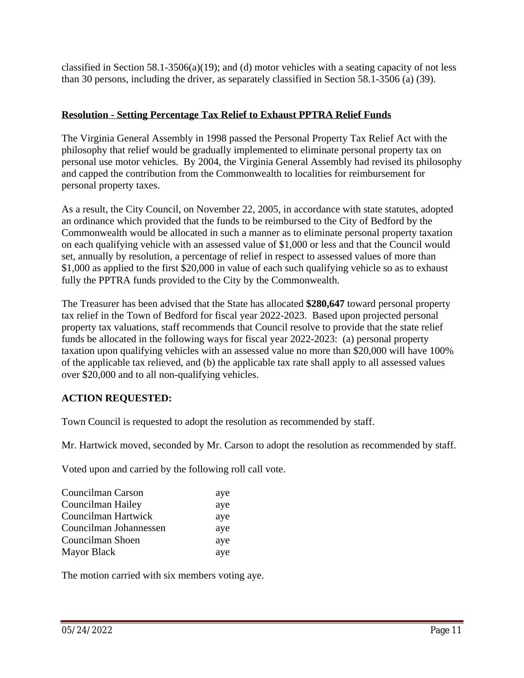classified in Section 58.1-3506(a)(19); and (d) motor vehicles with a seating capacity of not less than 30 persons, including the driver, as separately classified in Section 58.1-3506 (a) (39).

## **Resolution - Setting Percentage Tax Relief to Exhaust PPTRA Relief Funds**

The Virginia General Assembly in 1998 passed the Personal Property Tax Relief Act with the philosophy that relief would be gradually implemented to eliminate personal property tax on personal use motor vehicles. By 2004, the Virginia General Assembly had revised its philosophy and capped the contribution from the Commonwealth to localities for reimbursement for personal property taxes.

As a result, the City Council, on November 22, 2005, in accordance with state statutes, adopted an ordinance which provided that the funds to be reimbursed to the City of Bedford by the Commonwealth would be allocated in such a manner as to eliminate personal property taxation on each qualifying vehicle with an assessed value of \$1,000 or less and that the Council would set, annually by resolution, a percentage of relief in respect to assessed values of more than \$1,000 as applied to the first \$20,000 in value of each such qualifying vehicle so as to exhaust fully the PPTRA funds provided to the City by the Commonwealth.

The Treasurer has been advised that the State has allocated **\$280,647** toward personal property tax relief in the Town of Bedford for fiscal year 2022-2023. Based upon projected personal property tax valuations, staff recommends that Council resolve to provide that the state relief funds be allocated in the following ways for fiscal year 2022-2023: (a) personal property taxation upon qualifying vehicles with an assessed value no more than \$20,000 will have 100% of the applicable tax relieved, and (b) the applicable tax rate shall apply to all assessed values over \$20,000 and to all non-qualifying vehicles.

# **ACTION REQUESTED:**

Town Council is requested to adopt the resolution as recommended by staff.

Mr. Hartwick moved, seconded by Mr. Carson to adopt the resolution as recommended by staff.

Voted upon and carried by the following roll call vote.

| Councilman Carson      | aye |
|------------------------|-----|
| Councilman Hailey      | aye |
| Councilman Hartwick    | aye |
| Councilman Johannessen | aye |
| Councilman Shoen       | aye |
| <b>Mayor Black</b>     | aye |

The motion carried with six members voting aye.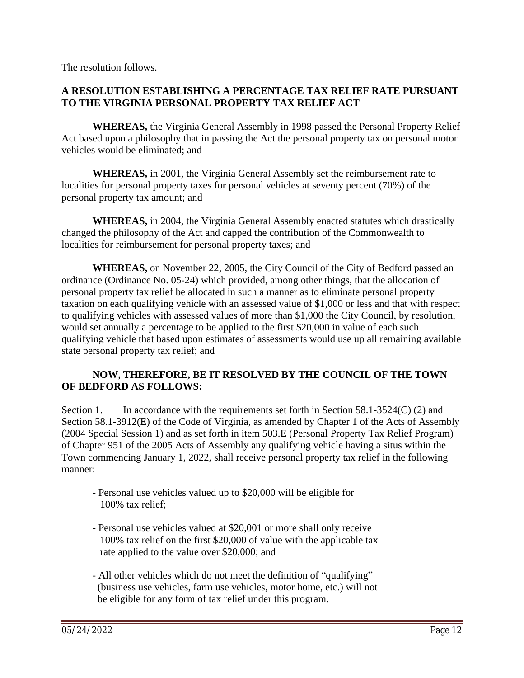The resolution follows.

### **A RESOLUTION ESTABLISHING A PERCENTAGE TAX RELIEF RATE PURSUANT TO THE VIRGINIA PERSONAL PROPERTY TAX RELIEF ACT**

**WHEREAS,** the Virginia General Assembly in 1998 passed the Personal Property Relief Act based upon a philosophy that in passing the Act the personal property tax on personal motor vehicles would be eliminated; and

**WHEREAS,** in 2001, the Virginia General Assembly set the reimbursement rate to localities for personal property taxes for personal vehicles at seventy percent (70%) of the personal property tax amount; and

**WHEREAS,** in 2004, the Virginia General Assembly enacted statutes which drastically changed the philosophy of the Act and capped the contribution of the Commonwealth to localities for reimbursement for personal property taxes; and

**WHEREAS,** on November 22, 2005, the City Council of the City of Bedford passed an ordinance (Ordinance No. 05-24) which provided, among other things, that the allocation of personal property tax relief be allocated in such a manner as to eliminate personal property taxation on each qualifying vehicle with an assessed value of \$1,000 or less and that with respect to qualifying vehicles with assessed values of more than \$1,000 the City Council, by resolution, would set annually a percentage to be applied to the first \$20,000 in value of each such qualifying vehicle that based upon estimates of assessments would use up all remaining available state personal property tax relief; and

### **NOW, THEREFORE, BE IT RESOLVED BY THE COUNCIL OF THE TOWN OF BEDFORD AS FOLLOWS:**

Section 1. In accordance with the requirements set forth in Section 58.1-3524(C) (2) and Section 58.1-3912(E) of the Code of Virginia, as amended by Chapter 1 of the Acts of Assembly (2004 Special Session 1) and as set forth in item 503.E (Personal Property Tax Relief Program) of Chapter 951 of the 2005 Acts of Assembly any qualifying vehicle having a situs within the Town commencing January 1, 2022, shall receive personal property tax relief in the following manner:

- Personal use vehicles valued up to \$20,000 will be eligible for 100% tax relief;
- Personal use vehicles valued at \$20,001 or more shall only receive 100% tax relief on the first \$20,000 of value with the applicable tax rate applied to the value over \$20,000; and
- All other vehicles which do not meet the definition of "qualifying" (business use vehicles, farm use vehicles, motor home, etc.) will not be eligible for any form of tax relief under this program.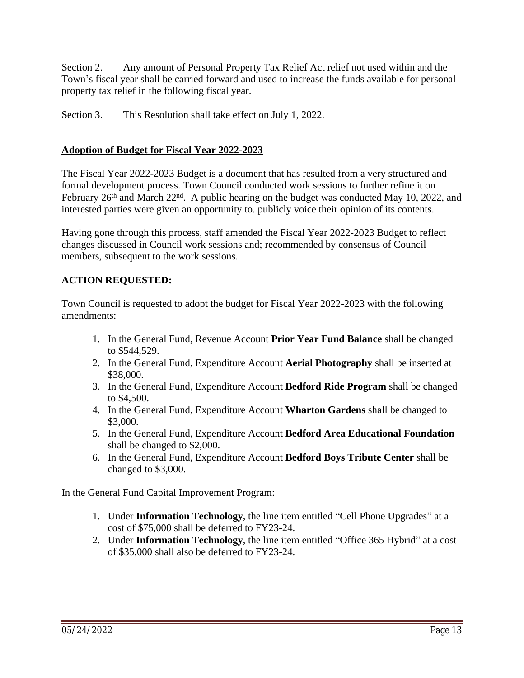Section 2. Any amount of Personal Property Tax Relief Act relief not used within and the Town's fiscal year shall be carried forward and used to increase the funds available for personal property tax relief in the following fiscal year.

Section 3. This Resolution shall take effect on July 1, 2022.

# **Adoption of Budget for Fiscal Year 2022-2023**

The Fiscal Year 2022-2023 Budget is a document that has resulted from a very structured and formal development process. Town Council conducted work sessions to further refine it on February 26<sup>th</sup> and March 22<sup>nd</sup>. A public hearing on the budget was conducted May 10, 2022, and interested parties were given an opportunity to. publicly voice their opinion of its contents.

Having gone through this process, staff amended the Fiscal Year 2022-2023 Budget to reflect changes discussed in Council work sessions and; recommended by consensus of Council members, subsequent to the work sessions.

# **ACTION REQUESTED:**

Town Council is requested to adopt the budget for Fiscal Year 2022-2023 with the following amendments:

- 1. In the General Fund, Revenue Account **Prior Year Fund Balance** shall be changed to \$544,529.
- 2. In the General Fund, Expenditure Account **Aerial Photography** shall be inserted at \$38,000.
- 3. In the General Fund, Expenditure Account **Bedford Ride Program** shall be changed to \$4,500.
- 4. In the General Fund, Expenditure Account **Wharton Gardens** shall be changed to \$3,000.
- 5. In the General Fund, Expenditure Account **Bedford Area Educational Foundation** shall be changed to \$2,000.
- 6. In the General Fund, Expenditure Account **Bedford Boys Tribute Center** shall be changed to \$3,000.

In the General Fund Capital Improvement Program:

- 1. Under **Information Technology**, the line item entitled "Cell Phone Upgrades" at a cost of \$75,000 shall be deferred to FY23-24.
- 2. Under **Information Technology**, the line item entitled "Office 365 Hybrid" at a cost of \$35,000 shall also be deferred to FY23-24.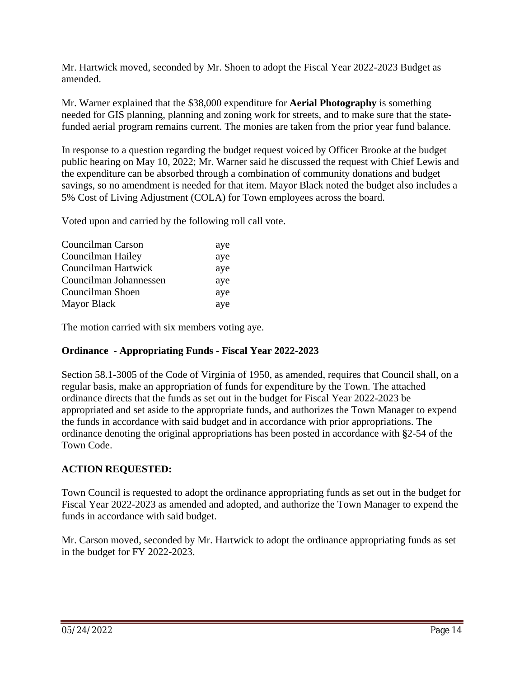Mr. Hartwick moved, seconded by Mr. Shoen to adopt the Fiscal Year 2022-2023 Budget as amended.

Mr. Warner explained that the \$38,000 expenditure for **Aerial Photography** is something needed for GIS planning, planning and zoning work for streets, and to make sure that the statefunded aerial program remains current. The monies are taken from the prior year fund balance.

In response to a question regarding the budget request voiced by Officer Brooke at the budget public hearing on May 10, 2022; Mr. Warner said he discussed the request with Chief Lewis and the expenditure can be absorbed through a combination of community donations and budget savings, so no amendment is needed for that item. Mayor Black noted the budget also includes a 5% Cost of Living Adjustment (COLA) for Town employees across the board.

Voted upon and carried by the following roll call vote.

| Councilman Carson      | aye |
|------------------------|-----|
| Councilman Hailey      | aye |
| Councilman Hartwick    | aye |
| Councilman Johannessen | aye |
| Councilman Shoen       | aye |
| Mayor Black            | aye |

The motion carried with six members voting aye.

### **Ordinance - Appropriating Funds - Fiscal Year 2022-2023**

Section 58.1-3005 of the Code of Virginia of 1950, as amended, requires that Council shall, on a regular basis, make an appropriation of funds for expenditure by the Town. The attached ordinance directs that the funds as set out in the budget for Fiscal Year 2022-2023 be appropriated and set aside to the appropriate funds, and authorizes the Town Manager to expend the funds in accordance with said budget and in accordance with prior appropriations. The ordinance denoting the original appropriations has been posted in accordance with **§**2-54 of the Town Code.

### **ACTION REQUESTED:**

Town Council is requested to adopt the ordinance appropriating funds as set out in the budget for Fiscal Year 2022-2023 as amended and adopted, and authorize the Town Manager to expend the funds in accordance with said budget.

Mr. Carson moved, seconded by Mr. Hartwick to adopt the ordinance appropriating funds as set in the budget for FY 2022-2023.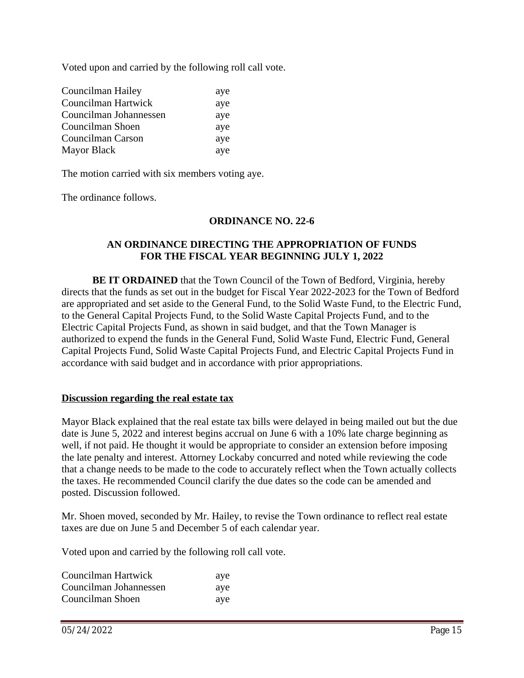Voted upon and carried by the following roll call vote.

| Councilman Hailey      | aye |
|------------------------|-----|
| Councilman Hartwick    | aye |
| Councilman Johannessen | aye |
| Councilman Shoen       | aye |
| Councilman Carson      | aye |
| <b>Mayor Black</b>     | aye |

The motion carried with six members voting aye.

The ordinance follows.

#### **ORDINANCE NO. 22-6**

### **AN ORDINANCE DIRECTING THE APPROPRIATION OF FUNDS FOR THE FISCAL YEAR BEGINNING JULY 1, 2022**

**BE IT ORDAINED** that the Town Council of the Town of Bedford, Virginia, hereby directs that the funds as set out in the budget for Fiscal Year 2022-2023 for the Town of Bedford are appropriated and set aside to the General Fund, to the Solid Waste Fund, to the Electric Fund, to the General Capital Projects Fund, to the Solid Waste Capital Projects Fund, and to the Electric Capital Projects Fund, as shown in said budget, and that the Town Manager is authorized to expend the funds in the General Fund, Solid Waste Fund, Electric Fund, General Capital Projects Fund, Solid Waste Capital Projects Fund, and Electric Capital Projects Fund in accordance with said budget and in accordance with prior appropriations.

#### **Discussion regarding the real estate tax**

Mayor Black explained that the real estate tax bills were delayed in being mailed out but the due date is June 5, 2022 and interest begins accrual on June 6 with a 10% late charge beginning as well, if not paid. He thought it would be appropriate to consider an extension before imposing the late penalty and interest. Attorney Lockaby concurred and noted while reviewing the code that a change needs to be made to the code to accurately reflect when the Town actually collects the taxes. He recommended Council clarify the due dates so the code can be amended and posted. Discussion followed.

Mr. Shoen moved, seconded by Mr. Hailey, to revise the Town ordinance to reflect real estate taxes are due on June 5 and December 5 of each calendar year.

Voted upon and carried by the following roll call vote.

| Councilman Hartwick    | aye |
|------------------------|-----|
| Councilman Johannessen | aye |
| Councilman Shoen       | aye |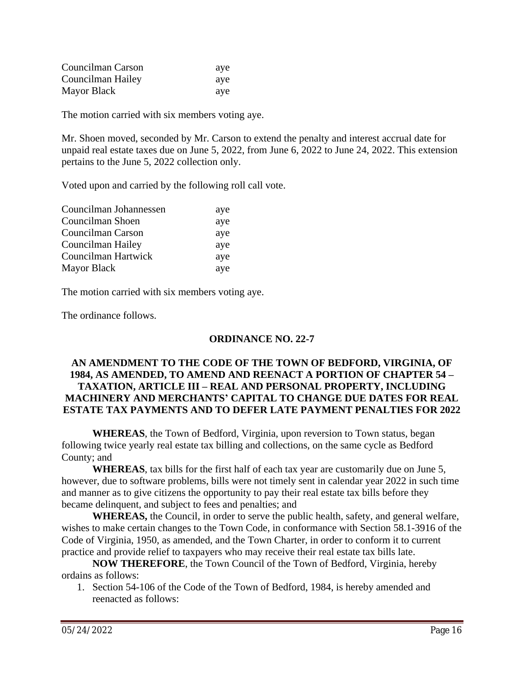| Councilman Carson | ave |  |
|-------------------|-----|--|
| Councilman Hailey | ave |  |
| Mayor Black       | ave |  |

The motion carried with six members voting aye.

Mr. Shoen moved, seconded by Mr. Carson to extend the penalty and interest accrual date for unpaid real estate taxes due on June 5, 2022, from June 6, 2022 to June 24, 2022. This extension pertains to the June 5, 2022 collection only.

Voted upon and carried by the following roll call vote.

| Councilman Johannessen | aye |
|------------------------|-----|
| Councilman Shoen       | aye |
| Councilman Carson      | aye |
| Councilman Hailey      | aye |
| Councilman Hartwick    | aye |
| <b>Mayor Black</b>     | aye |

The motion carried with six members voting aye.

The ordinance follows.

### **ORDINANCE NO. 22-7**

### **AN AMENDMENT TO THE CODE OF THE TOWN OF BEDFORD, VIRGINIA, OF 1984, AS AMENDED, TO AMEND AND REENACT A PORTION OF CHAPTER 54 – TAXATION, ARTICLE III – REAL AND PERSONAL PROPERTY, INCLUDING MACHINERY AND MERCHANTS' CAPITAL TO CHANGE DUE DATES FOR REAL ESTATE TAX PAYMENTS AND TO DEFER LATE PAYMENT PENALTIES FOR 2022**

**WHEREAS**, the Town of Bedford, Virginia, upon reversion to Town status, began following twice yearly real estate tax billing and collections, on the same cycle as Bedford County; and

**WHEREAS**, tax bills for the first half of each tax year are customarily due on June 5, however, due to software problems, bills were not timely sent in calendar year 2022 in such time and manner as to give citizens the opportunity to pay their real estate tax bills before they became delinquent, and subject to fees and penalties; and

**WHEREAS,** the Council, in order to serve the public health, safety, and general welfare, wishes to make certain changes to the Town Code, in conformance with Section 58.1-3916 of the Code of Virginia, 1950, as amended, and the Town Charter, in order to conform it to current practice and provide relief to taxpayers who may receive their real estate tax bills late.

**NOW THEREFORE**, the Town Council of the Town of Bedford, Virginia, hereby ordains as follows:

1. Section 54-106 of the Code of the Town of Bedford, 1984, is hereby amended and reenacted as follows: